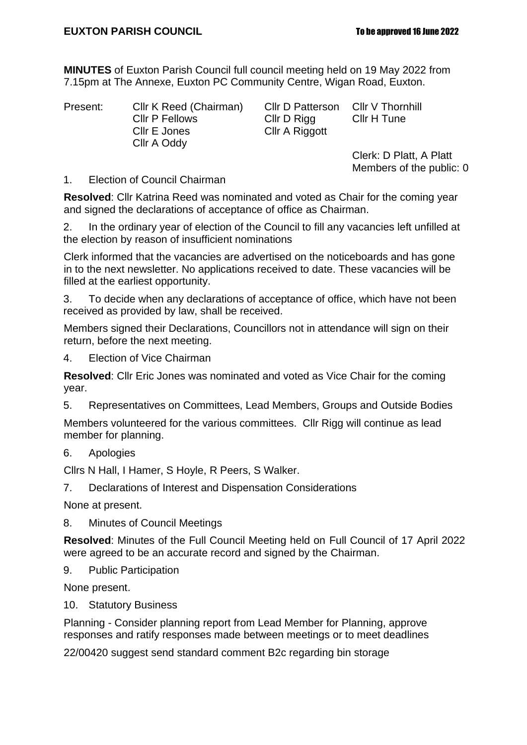**MINUTES** of Euxton Parish Council full council meeting held on 19 May 2022 from 7.15pm at The Annexe, Euxton PC Community Centre, Wigan Road, Euxton.

Present: Cllr K Reed (Chairman) Cllr D Patterson Cllr V Thornhill<br>Cllr P Fellows Cllr D Rigg Cllr H Tune Cllr P Fellows Cllr D Rigg Cllr E Jones Cllr A Riggott Cllr A Oddy

Clerk: D Platt, A Platt Members of the public: 0

1. Election of Council Chairman

**Resolved**: Cllr Katrina Reed was nominated and voted as Chair for the coming year and signed the declarations of acceptance of office as Chairman.

2. In the ordinary year of election of the Council to fill any vacancies left unfilled at the election by reason of insufficient nominations

Clerk informed that the vacancies are advertised on the noticeboards and has gone in to the next newsletter. No applications received to date. These vacancies will be filled at the earliest opportunity.

3. To decide when any declarations of acceptance of office, which have not been received as provided by law, shall be received.

Members signed their Declarations, Councillors not in attendance will sign on their return, before the next meeting.

4. Election of Vice Chairman

**Resolved**: Cllr Eric Jones was nominated and voted as Vice Chair for the coming year.

5. Representatives on Committees, Lead Members, Groups and Outside Bodies

Members volunteered for the various committees. Cllr Rigg will continue as lead member for planning.

6. Apologies

Cllrs N Hall, I Hamer, S Hoyle, R Peers, S Walker.

7. Declarations of Interest and Dispensation Considerations

None at present.

8. Minutes of Council Meetings

**Resolved**: Minutes of the Full Council Meeting held on Full Council of 17 April 2022 were agreed to be an accurate record and signed by the Chairman.

9. Public Participation

None present.

10. Statutory Business

Planning - Consider planning report from Lead Member for Planning, approve responses and ratify responses made between meetings or to meet deadlines

22/00420 suggest send standard comment B2c regarding bin storage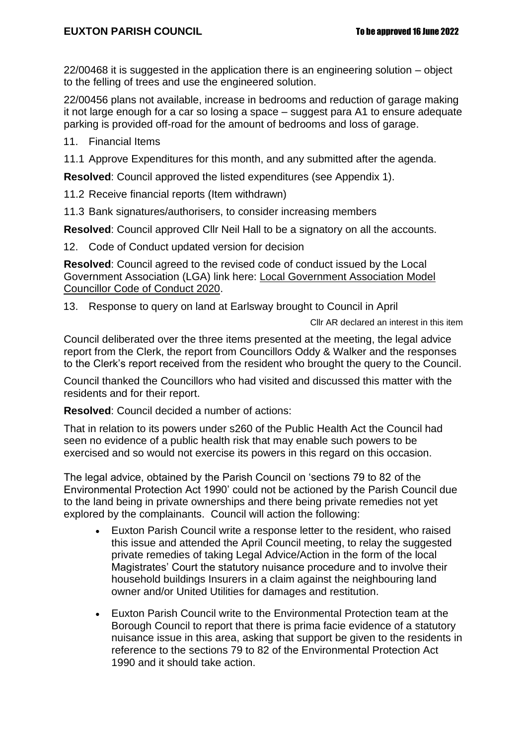22/00468 it is suggested in the application there is an engineering solution – object to the felling of trees and use the engineered solution.

22/00456 plans not available, increase in bedrooms and reduction of garage making it not large enough for a car so losing a space – suggest para A1 to ensure adequate parking is provided off-road for the amount of bedrooms and loss of garage.

- 11. Financial Items
- 11.1 Approve Expenditures for this month, and any submitted after the agenda.

**Resolved**: Council approved the listed expenditures (see Appendix 1).

- 11.2 Receive financial reports (Item withdrawn)
- 11.3 Bank signatures/authorisers, to consider increasing members

**Resolved**: Council approved Cllr Neil Hall to be a signatory on all the accounts.

12. Code of Conduct updated version for decision

**Resolved**: Council agreed to the revised code of conduct issued by the Local Government Association (LGA) link here: [Local Government Association Model](https://www.local.gov.uk/sites/default/files/documents/Local%20Government%20Association%20Model%20Councillor%20Code%20of%20Conduct%202020%20WEB.pdf)  [Councillor Code of Conduct 2020.](https://www.local.gov.uk/sites/default/files/documents/Local%20Government%20Association%20Model%20Councillor%20Code%20of%20Conduct%202020%20WEB.pdf)

13. Response to query on land at Earlsway brought to Council in April

Cllr AR declared an interest in this item

Council deliberated over the three items presented at the meeting, the legal advice report from the Clerk, the report from Councillors Oddy & Walker and the responses to the Clerk's report received from the resident who brought the query to the Council.

Council thanked the Councillors who had visited and discussed this matter with the residents and for their report.

**Resolved**: Council decided a number of actions:

That in relation to its powers under s260 of the Public Health Act the Council had seen no evidence of a public health risk that may enable such powers to be exercised and so would not exercise its powers in this regard on this occasion.

The legal advice, obtained by the Parish Council on 'sections 79 to 82 of the Environmental Protection Act 1990' could not be actioned by the Parish Council due to the land being in private ownerships and there being private remedies not yet explored by the complainants. Council will action the following:

- Euxton Parish Council write a response letter to the resident, who raised this issue and attended the April Council meeting, to relay the suggested private remedies of taking Legal Advice/Action in the form of the local Magistrates' Court the statutory nuisance procedure and to involve their household buildings Insurers in a claim against the neighbouring land owner and/or United Utilities for damages and restitution.
- Euxton Parish Council write to the Environmental Protection team at the Borough Council to report that there is prima facie evidence of a statutory nuisance issue in this area, asking that support be given to the residents in reference to the sections 79 to 82 of the Environmental Protection Act 1990 and it should take action.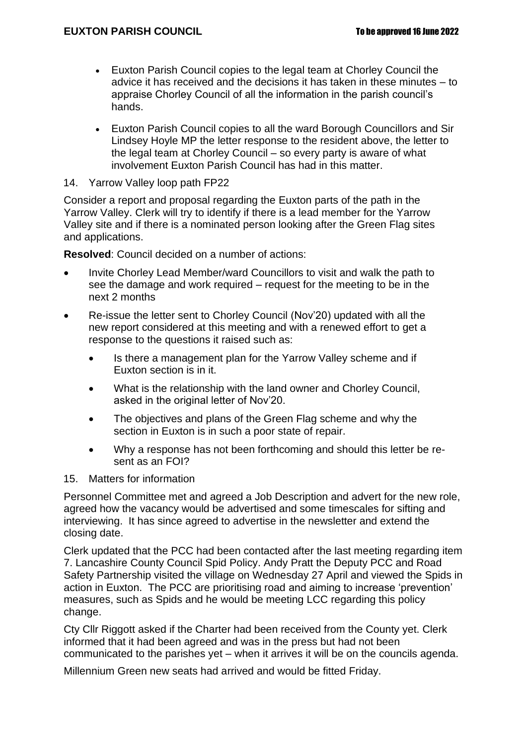- Euxton Parish Council copies to the legal team at Chorley Council the advice it has received and the decisions it has taken in these minutes – to appraise Chorley Council of all the information in the parish council's hands.
- Euxton Parish Council copies to all the ward Borough Councillors and Sir Lindsey Hoyle MP the letter response to the resident above, the letter to the legal team at Chorley Council – so every party is aware of what involvement Euxton Parish Council has had in this matter.
- 14. Yarrow Valley loop path FP22

Consider a report and proposal regarding the Euxton parts of the path in the Yarrow Valley. Clerk will try to identify if there is a lead member for the Yarrow Valley site and if there is a nominated person looking after the Green Flag sites and applications.

**Resolved**: Council decided on a number of actions:

- Invite Chorley Lead Member/ward Councillors to visit and walk the path to see the damage and work required – request for the meeting to be in the next 2 months
- Re-issue the letter sent to Chorley Council (Nov'20) updated with all the new report considered at this meeting and with a renewed effort to get a response to the questions it raised such as:
	- Is there a management plan for the Yarrow Valley scheme and if Euxton section is in it.
	- What is the relationship with the land owner and Chorley Council, asked in the original letter of Nov'20.
	- The objectives and plans of the Green Flag scheme and why the section in Euxton is in such a poor state of repair.
	- Why a response has not been forthcoming and should this letter be resent as an FOI?
- 15. Matters for information

Personnel Committee met and agreed a Job Description and advert for the new role, agreed how the vacancy would be advertised and some timescales for sifting and interviewing. It has since agreed to advertise in the newsletter and extend the closing date.

Clerk updated that the PCC had been contacted after the last meeting regarding item 7. Lancashire County Council Spid Policy. Andy Pratt the Deputy PCC and Road Safety Partnership visited the village on Wednesday 27 April and viewed the Spids in action in Euxton. The PCC are prioritising road and aiming to increase 'prevention' measures, such as Spids and he would be meeting LCC regarding this policy change.

Cty Cllr Riggott asked if the Charter had been received from the County yet. Clerk informed that it had been agreed and was in the press but had not been communicated to the parishes yet – when it arrives it will be on the councils agenda.

Millennium Green new seats had arrived and would be fitted Friday.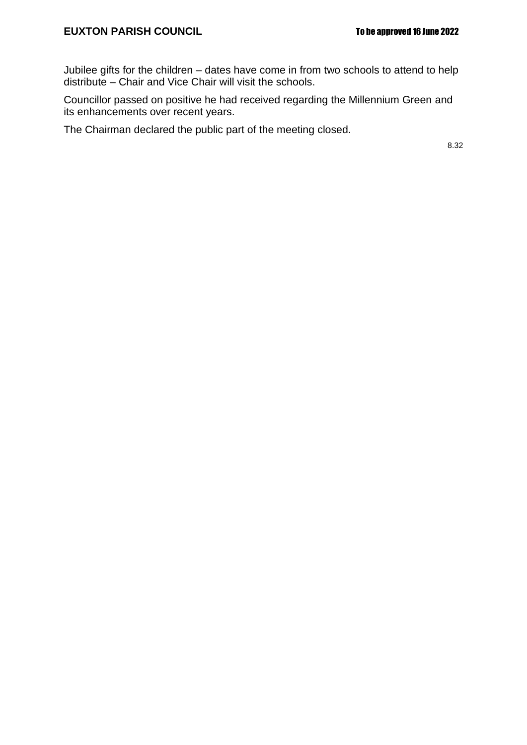Jubilee gifts for the children – dates have come in from two schools to attend to help distribute – Chair and Vice Chair will visit the schools.

Councillor passed on positive he had received regarding the Millennium Green and its enhancements over recent years.

The Chairman declared the public part of the meeting closed.

8.32